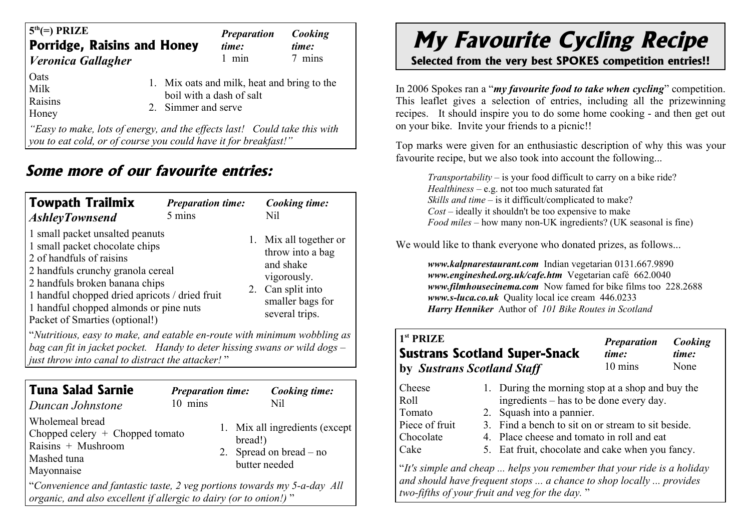| <b>Porridge, Raisins and Honey</b><br>  Veronica Gallagher                                                                         | <b>Preparation</b><br>time:<br>$1$ min | Cooking<br>time:<br>7 mins |
|------------------------------------------------------------------------------------------------------------------------------------|----------------------------------------|----------------------------|
| Oats<br>1. Mix oats and milk, heat and bring to the<br>Milk<br>boil with a dash of salt<br>Raisins<br>2. Simmer and serve<br>Honey |                                        |                            |

*"Easy to make, lots of energy, and the effects last! Could take this with you to eat cold, or of course you could have it for breakfast!"*

## **Some more of our favourite entries:**

| <b>Towpath Trailmix</b><br><b>AshleyTownsend</b>                                                                                                                                                                                                                                                   | <b>Preparation time:</b><br>5 mins |  | Cooking time:<br>Nil                                                                                                              |  |  |  |  |
|----------------------------------------------------------------------------------------------------------------------------------------------------------------------------------------------------------------------------------------------------------------------------------------------------|------------------------------------|--|-----------------------------------------------------------------------------------------------------------------------------------|--|--|--|--|
| 1 small packet unsalted peanuts<br>1 small packet chocolate chips<br>2 of handfuls of raisins<br>2 handfuls crunchy granola cereal<br>2 handfuls broken banana chips<br>1 handful chopped dried apricots / dried fruit<br>1 handful chopped almonds or pine nuts<br>Packet of Smarties (optional!) |                                    |  | 1. Mix all together or<br>throw into a bag<br>and shake<br>vigorously.<br>2. Can split into<br>smaller bags for<br>several trips. |  |  |  |  |
| "Nutritious, easy to make, and eatable en-route with minimum wobbling as<br>bag can fit in jacket pocket. Handy to deter hissing swans or wild dogs $-$                                                                                                                                            |                                    |  |                                                                                                                                   |  |  |  |  |

*just throw into canal to distract the attacker!* "

| Tuna Salad Sarnie<br>Duncan Johnstone                                                                                                       | <b>Preparation time:</b><br>$10$ mins |                          | Cooking time:<br>Nil                                        |  |  |  |
|---------------------------------------------------------------------------------------------------------------------------------------------|---------------------------------------|--------------------------|-------------------------------------------------------------|--|--|--|
| Wholemeal bread<br>Chopped celery $+$ Chopped tomato<br>Raisins $+$ Mushroom<br>Mashed tuna<br>Mayonnaise                                   |                                       | bread!)<br>butter needed | 1. Mix all ingredients (except<br>2. Spread on bread $-$ no |  |  |  |
| "Convenience and fantastic taste, 2 veg portions towards my 5-a-day All<br>organic, and also excellent if allergic to dairy (or to onion!)" |                                       |                          |                                                             |  |  |  |

## **My Favourite Cycling Recipe**

**Selected from the very best SPOKES competition entries!!**

In 2006 Spokes ran a "*my favourite food to take when cycling*" competition. This leaflet gives a selection of entries, including all the prizewinning recipes. It should inspire you to do some home cooking - and then get out on your bike. Invite your friends to a picnic!!

Top marks were given for an enthusiastic description of why this was your favourite recipe, but we also took into account the following...

*Transportability* – is your food difficult to carry on a bike ride? *Healthiness* – e.g. not too much saturated fat *Skills and time* – is it difficult/complicated to make? *Cost* – ideally it shouldn't be too expensive to make *Food miles* – how many non-UK ingredients? (UK seasonal is fine)

We would like to thank everyone who donated prizes, as follows...

*www.kalpnarestaurant.com* Indian vegetarian 0131.667.9890 *www.engineshed.org.uk/cafe.htm* Vegetarian café 662.0040 *www.filmhousecinema.com* Now famed for bike films too 228.2688 *www.s-luca.co.uk* Quality local ice cream 446.0233 *Harry Henniker* Author of *101 Bike Routes in Scotland*

| 1 <sup>st</sup> PRIZE<br>by Sustrans Scotland Staff | <b>Sustrans Scotland Super-Snack</b>                                                        | <b>Preparation</b><br>time:<br>10 mins | Cooking<br>time:<br>None |  |
|-----------------------------------------------------|---------------------------------------------------------------------------------------------|----------------------------------------|--------------------------|--|
| Cheese<br>Roll                                      | 1. During the morning stop at a shop and buy the<br>ingredients – has to be done every day. |                                        |                          |  |
| Tomato                                              | 2. Squash into a pannier.                                                                   |                                        |                          |  |
| Piece of fruit                                      | 3. Find a bench to sit on or stream to sit beside.                                          |                                        |                          |  |
| Chocolate                                           | 4. Place cheese and tomato in roll and eat                                                  |                                        |                          |  |
| Cake                                                | 5. Eat fruit, chocolate and cake when you fancy.                                            |                                        |                          |  |

"*It's simple and cheap ... helps you remember that your ride is a holiday and should have frequent stops ... a chance to shop locally ... provides two-fifths of your fruit and veg for the day.* "